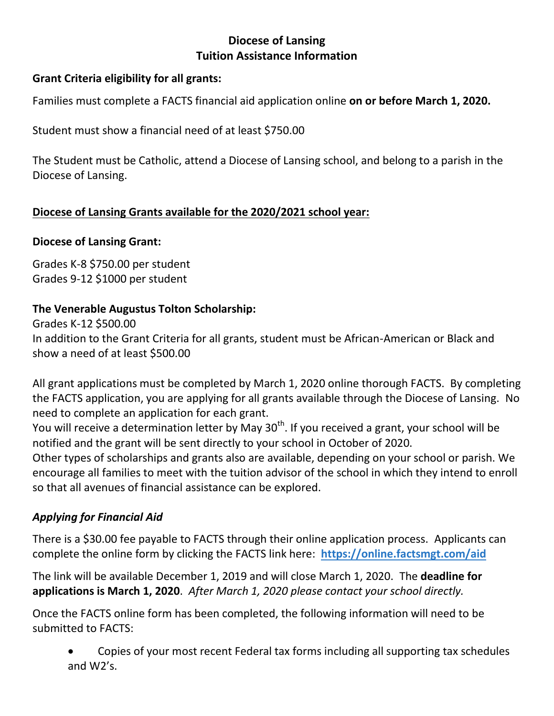## **Diocese of Lansing Tuition Assistance Information**

### **Grant Criteria eligibility for all grants:**

Families must complete a FACTS financial aid application online **on or before March 1, 2020.**

Student must show a financial need of at least \$750.00

The Student must be Catholic, attend a Diocese of Lansing school, and belong to a parish in the Diocese of Lansing.

## **Diocese of Lansing Grants available for the 2020/2021 school year:**

### **Diocese of Lansing Grant:**

Grades K-8 \$750.00 per student Grades 9-12 \$1000 per student

## **The Venerable Augustus Tolton Scholarship:**

Grades K-12 \$500.00 In addition to the Grant Criteria for all grants, student must be African-American or Black and show a need of at least \$500.00

All grant applications must be completed by March 1, 2020 online thorough FACTS. By completing the FACTS application, you are applying for all grants available through the Diocese of Lansing. No need to complete an application for each grant.

You will receive a determination letter by May  $30<sup>th</sup>$ . If you received a grant, your school will be notified and the grant will be sent directly to your school in October of 2020.

Other types of scholarships and grants also are available, depending on your school or parish. We encourage all families to meet with the tuition advisor of the school in which they intend to enroll so that all avenues of financial assistance can be explored.

# *Applying for Financial Aid*

There is a \$30.00 fee payable to FACTS through their online application process. Applicants can complete the online form by clicking the FACTS link here: **<https://online.factsmgt.com/aid>**

The link will be available December 1, 2019 and will close March 1, 2020. The **deadline for applications is March 1, 2020**. *After March 1, 2020 please contact your school directly.*

Once the FACTS online form has been completed, the following information will need to be submitted to FACTS:

 Copies of your most recent Federal tax forms including all supporting tax schedules and W2's.